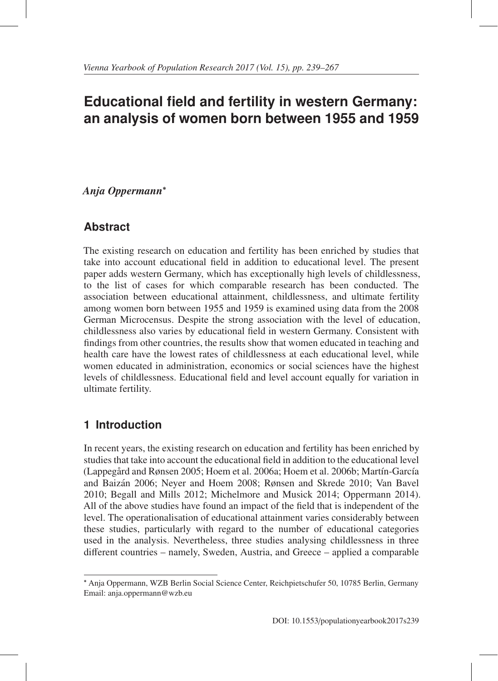# **Educational field and fertility in western Germany: an analysis of women born between 1955 and 1959**

## *Anja Oppermann*<sup>∗</sup>

## **Abstract**

The existing research on education and fertility has been enriched by studies that take into account educational field in addition to educational level. The present paper adds western Germany, which has exceptionally high levels of childlessness, to the list of cases for which comparable research has been conducted. The association between educational attainment, childlessness, and ultimate fertility among women born between 1955 and 1959 is examined using data from the 2008 German Microcensus. Despite the strong association with the level of education, childlessness also varies by educational field in western Germany. Consistent with findings from other countries, the results show that women educated in teaching and health care have the lowest rates of childlessness at each educational level, while women educated in administration, economics or social sciences have the highest levels of childlessness. Educational field and level account equally for variation in ultimate fertility.

## **1 Introduction**

In recent years, the existing research on education and fertility has been enriched by studies that take into account the educational field in addition to the educational level (Lappegård and Rønsen 2005; Hoem et al. 2006a; Hoem et al. 2006b; Martín-García and Baizan 2006; Neyer and Hoem 2008; Rønsen and Skrede 2010; Van Bavel ´ 2010; Begall and Mills 2012; Michelmore and Musick 2014; Oppermann 2014). All of the above studies have found an impact of the field that is independent of the level. The operationalisation of educational attainment varies considerably between these studies, particularly with regard to the number of educational categories used in the analysis. Nevertheless, three studies analysing childlessness in three different countries – namely, Sweden, Austria, and Greece – applied a comparable

<sup>∗</sup> Anja Oppermann, WZB Berlin Social Science Center, Reichpietschufer 50, 10785 Berlin, Germany Email: anja.oppermann@wzb.eu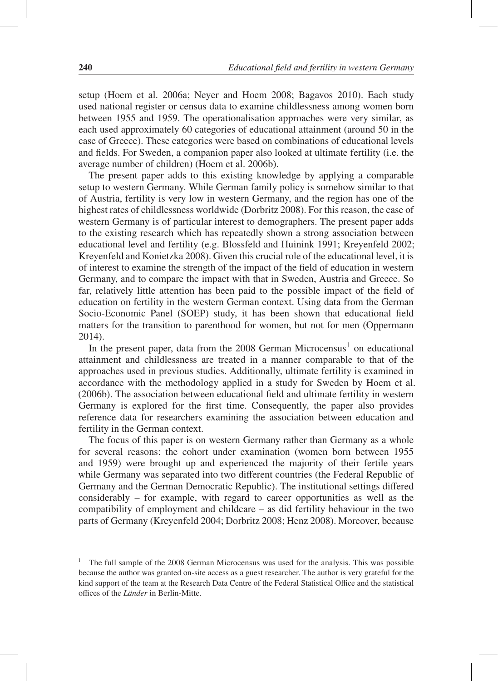setup (Hoem et al. 2006a; Neyer and Hoem 2008; Bagavos 2010). Each study used national register or census data to examine childlessness among women born between 1955 and 1959. The operationalisation approaches were very similar, as each used approximately 60 categories of educational attainment (around 50 in the case of Greece). These categories were based on combinations of educational levels and fields. For Sweden, a companion paper also looked at ultimate fertility (i.e. the average number of children) (Hoem et al. 2006b).

The present paper adds to this existing knowledge by applying a comparable setup to western Germany. While German family policy is somehow similar to that of Austria, fertility is very low in western Germany, and the region has one of the highest rates of childlessness worldwide (Dorbritz 2008). For this reason, the case of western Germany is of particular interest to demographers. The present paper adds to the existing research which has repeatedly shown a strong association between educational level and fertility (e.g. Blossfeld and Huinink 1991; Kreyenfeld 2002; Kreyenfeld and Konietzka 2008). Given this crucial role of the educational level, it is of interest to examine the strength of the impact of the field of education in western Germany, and to compare the impact with that in Sweden, Austria and Greece. So far, relatively little attention has been paid to the possible impact of the field of education on fertility in the western German context. Using data from the German Socio-Economic Panel (SOEP) study, it has been shown that educational field matters for the transition to parenthood for women, but not for men (Oppermann 2014).

In the present paper, data from the  $2008$  German Microcensus<sup>1</sup> on educational attainment and childlessness are treated in a manner comparable to that of the approaches used in previous studies. Additionally, ultimate fertility is examined in accordance with the methodology applied in a study for Sweden by Hoem et al. (2006b). The association between educational field and ultimate fertility in western Germany is explored for the first time. Consequently, the paper also provides reference data for researchers examining the association between education and fertility in the German context.

The focus of this paper is on western Germany rather than Germany as a whole for several reasons: the cohort under examination (women born between 1955 and 1959) were brought up and experienced the majority of their fertile years while Germany was separated into two different countries (the Federal Republic of Germany and the German Democratic Republic). The institutional settings differed considerably – for example, with regard to career opportunities as well as the compatibility of employment and childcare – as did fertility behaviour in the two parts of Germany (Kreyenfeld 2004; Dorbritz 2008; Henz 2008). Moreover, because

<sup>&</sup>lt;sup>1</sup> The full sample of the 2008 German Microcensus was used for the analysis. This was possible because the author was granted on-site access as a guest researcher. The author is very grateful for the kind support of the team at the Research Data Centre of the Federal Statistical Office and the statistical offices of the *Länder* in Berlin-Mitte.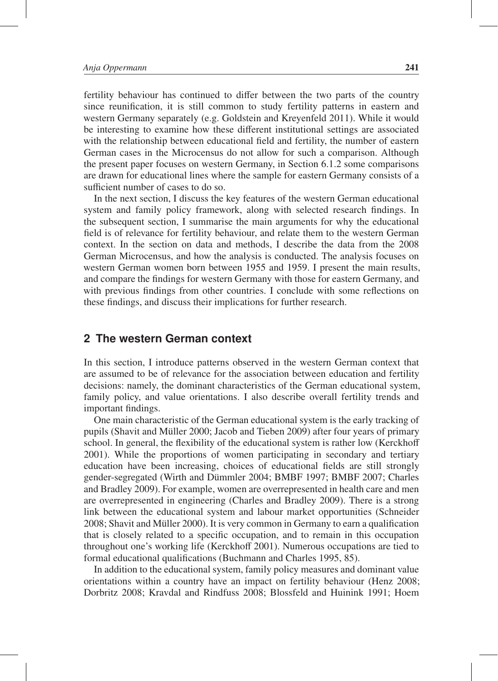fertility behaviour has continued to differ between the two parts of the country since reunification, it is still common to study fertility patterns in eastern and western Germany separately (e.g. Goldstein and Kreyenfeld 2011). While it would be interesting to examine how these different institutional settings are associated with the relationship between educational field and fertility, the number of eastern German cases in the Microcensus do not allow for such a comparison. Although the present paper focuses on western Germany, in Section 6.1.2 some comparisons are drawn for educational lines where the sample for eastern Germany consists of a sufficient number of cases to do so.

In the next section, I discuss the key features of the western German educational system and family policy framework, along with selected research findings. In the subsequent section, I summarise the main arguments for why the educational field is of relevance for fertility behaviour, and relate them to the western German context. In the section on data and methods, I describe the data from the 2008 German Microcensus, and how the analysis is conducted. The analysis focuses on western German women born between 1955 and 1959. I present the main results, and compare the findings for western Germany with those for eastern Germany, and with previous findings from other countries. I conclude with some reflections on these findings, and discuss their implications for further research.

#### **2 The western German context**

In this section, I introduce patterns observed in the western German context that are assumed to be of relevance for the association between education and fertility decisions: namely, the dominant characteristics of the German educational system, family policy, and value orientations. I also describe overall fertility trends and important findings.

One main characteristic of the German educational system is the early tracking of pupils (Shavit and Müller 2000; Jacob and Tieben 2009) after four years of primary school. In general, the flexibility of the educational system is rather low (Kerckhoff 2001). While the proportions of women participating in secondary and tertiary education have been increasing, choices of educational fields are still strongly gender-segregated (Wirth and Dümmler 2004; BMBF 1997; BMBF 2007; Charles and Bradley 2009). For example, women are overrepresented in health care and men are overrepresented in engineering (Charles and Bradley 2009). There is a strong link between the educational system and labour market opportunities (Schneider 2008; Shavit and Müller 2000). It is very common in Germany to earn a qualification that is closely related to a specific occupation, and to remain in this occupation throughout one's working life (Kerckhoff 2001). Numerous occupations are tied to formal educational qualifications (Buchmann and Charles 1995, 85).

In addition to the educational system, family policy measures and dominant value orientations within a country have an impact on fertility behaviour (Henz 2008; Dorbritz 2008; Kravdal and Rindfuss 2008; Blossfeld and Huinink 1991; Hoem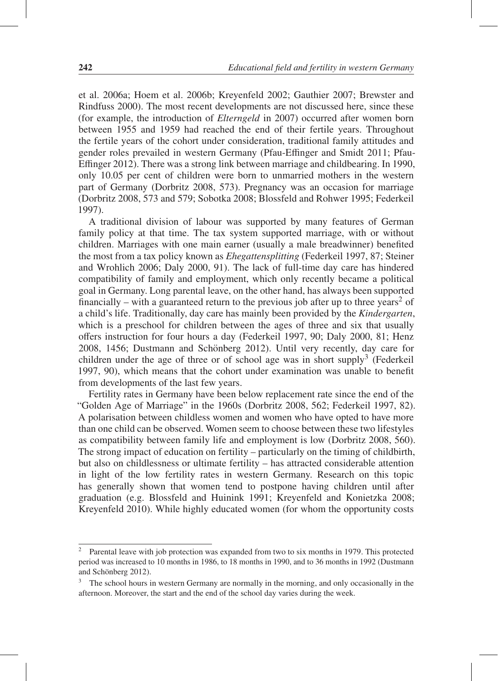et al. 2006a; Hoem et al. 2006b; Kreyenfeld 2002; Gauthier 2007; Brewster and Rindfuss 2000). The most recent developments are not discussed here, since these (for example, the introduction of *Elterngeld* in 2007) occurred after women born between 1955 and 1959 had reached the end of their fertile years. Throughout the fertile years of the cohort under consideration, traditional family attitudes and gender roles prevailed in western Germany (Pfau-Effinger and Smidt 2011; Pfau-Effinger 2012). There was a strong link between marriage and childbearing. In 1990, only 10.05 per cent of children were born to unmarried mothers in the western part of Germany (Dorbritz 2008, 573). Pregnancy was an occasion for marriage (Dorbritz 2008, 573 and 579; Sobotka 2008; Blossfeld and Rohwer 1995; Federkeil 1997).

A traditional division of labour was supported by many features of German family policy at that time. The tax system supported marriage, with or without children. Marriages with one main earner (usually a male breadwinner) benefited the most from a tax policy known as *Ehegattensplitting* (Federkeil 1997, 87; Steiner and Wrohlich 2006; Daly 2000, 91). The lack of full-time day care has hindered compatibility of family and employment, which only recently became a political goal in Germany. Long parental leave, on the other hand, has always been supported financially – with a guaranteed return to the previous job after up to three years<sup>2</sup> of a child's life. Traditionally, day care has mainly been provided by the *Kindergarten*, which is a preschool for children between the ages of three and six that usually offers instruction for four hours a day (Federkeil 1997, 90; Daly 2000, 81; Henz 2008, 1456; Dustmann and Schönberg 2012). Until very recently, day care for children under the age of three or of school age was in short supply3 (Federkeil 1997, 90), which means that the cohort under examination was unable to benefit from developments of the last few years.

Fertility rates in Germany have been below replacement rate since the end of the "Golden Age of Marriage" in the 1960s (Dorbritz 2008, 562; Federkeil 1997, 82). A polarisation between childless women and women who have opted to have more than one child can be observed. Women seem to choose between these two lifestyles as compatibility between family life and employment is low (Dorbritz 2008, 560). The strong impact of education on fertility – particularly on the timing of childbirth, but also on childlessness or ultimate fertility – has attracted considerable attention in light of the low fertility rates in western Germany. Research on this topic has generally shown that women tend to postpone having children until after graduation (e.g. Blossfeld and Huinink 1991; Kreyenfeld and Konietzka 2008; Kreyenfeld 2010). While highly educated women (for whom the opportunity costs

<sup>&</sup>lt;sup>2</sup> Parental leave with job protection was expanded from two to six months in 1979. This protected period was increased to 10 months in 1986, to 18 months in 1990, and to 36 months in 1992 (Dustmann and Schönberg 2012).

<sup>3</sup> The school hours in western Germany are normally in the morning, and only occasionally in the afternoon. Moreover, the start and the end of the school day varies during the week.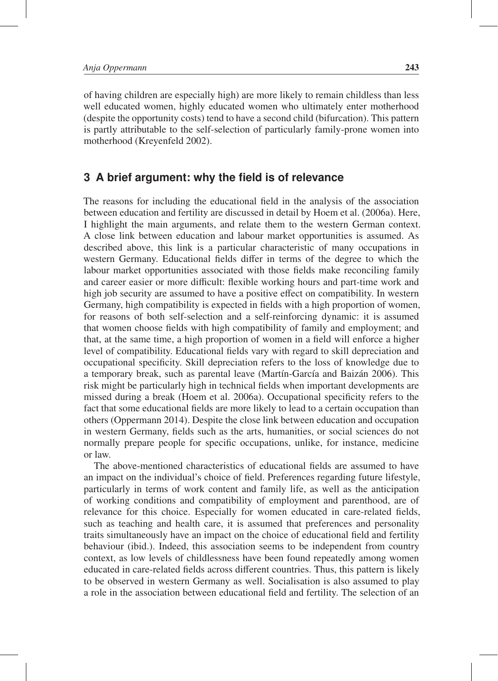of having children are especially high) are more likely to remain childless than less well educated women, highly educated women who ultimately enter motherhood (despite the opportunity costs) tend to have a second child (bifurcation). This pattern is partly attributable to the self-selection of particularly family-prone women into motherhood (Kreyenfeld 2002).

### **3 A brief argument: why the field is of relevance**

The reasons for including the educational field in the analysis of the association between education and fertility are discussed in detail by Hoem et al. (2006a). Here, I highlight the main arguments, and relate them to the western German context. A close link between education and labour market opportunities is assumed. As described above, this link is a particular characteristic of many occupations in western Germany. Educational fields differ in terms of the degree to which the labour market opportunities associated with those fields make reconciling family and career easier or more difficult: flexible working hours and part-time work and high job security are assumed to have a positive effect on compatibility. In western Germany, high compatibility is expected in fields with a high proportion of women, for reasons of both self-selection and a self-reinforcing dynamic: it is assumed that women choose fields with high compatibility of family and employment; and that, at the same time, a high proportion of women in a field will enforce a higher level of compatibility. Educational fields vary with regard to skill depreciation and occupational specificity. Skill depreciation refers to the loss of knowledge due to a temporary break, such as parental leave (Martín-García and Baizán 2006). This risk might be particularly high in technical fields when important developments are missed during a break (Hoem et al. 2006a). Occupational specificity refers to the fact that some educational fields are more likely to lead to a certain occupation than others (Oppermann 2014). Despite the close link between education and occupation in western Germany, fields such as the arts, humanities, or social sciences do not normally prepare people for specific occupations, unlike, for instance, medicine or law.

The above-mentioned characteristics of educational fields are assumed to have an impact on the individual's choice of field. Preferences regarding future lifestyle, particularly in terms of work content and family life, as well as the anticipation of working conditions and compatibility of employment and parenthood, are of relevance for this choice. Especially for women educated in care-related fields, such as teaching and health care, it is assumed that preferences and personality traits simultaneously have an impact on the choice of educational field and fertility behaviour (ibid.). Indeed, this association seems to be independent from country context, as low levels of childlessness have been found repeatedly among women educated in care-related fields across different countries. Thus, this pattern is likely to be observed in western Germany as well. Socialisation is also assumed to play a role in the association between educational field and fertility. The selection of an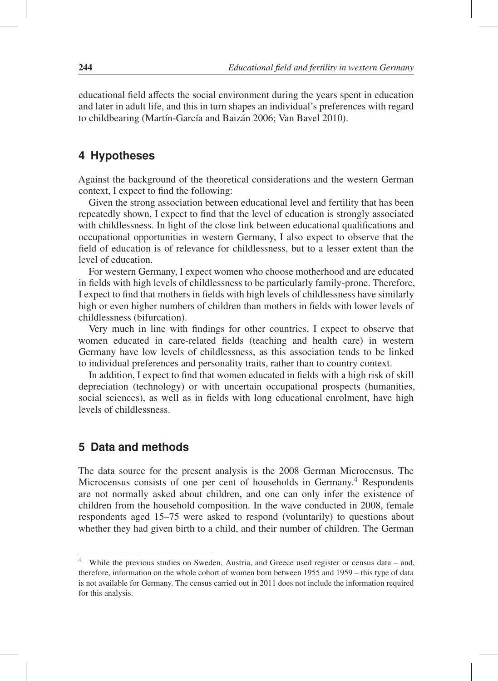educational field affects the social environment during the years spent in education and later in adult life, and this in turn shapes an individual's preferences with regard to childbearing (Martín-García and Baizán 2006; Van Bavel 2010).

#### **4 Hypotheses**

Against the background of the theoretical considerations and the western German context, I expect to find the following:

Given the strong association between educational level and fertility that has been repeatedly shown, I expect to find that the level of education is strongly associated with childlessness. In light of the close link between educational qualifications and occupational opportunities in western Germany, I also expect to observe that the field of education is of relevance for childlessness, but to a lesser extent than the level of education.

For western Germany, I expect women who choose motherhood and are educated in fields with high levels of childlessness to be particularly family-prone. Therefore, I expect to find that mothers in fields with high levels of childlessness have similarly high or even higher numbers of children than mothers in fields with lower levels of childlessness (bifurcation).

Very much in line with findings for other countries, I expect to observe that women educated in care-related fields (teaching and health care) in western Germany have low levels of childlessness, as this association tends to be linked to individual preferences and personality traits, rather than to country context.

In addition, I expect to find that women educated in fields with a high risk of skill depreciation (technology) or with uncertain occupational prospects (humanities, social sciences), as well as in fields with long educational enrolment, have high levels of childlessness.

### **5 Data and methods**

The data source for the present analysis is the 2008 German Microcensus. The Microcensus consists of one per cent of households in Germany.4 Respondents are not normally asked about children, and one can only infer the existence of children from the household composition. In the wave conducted in 2008, female respondents aged 15–75 were asked to respond (voluntarily) to questions about whether they had given birth to a child, and their number of children. The German

<sup>4</sup> While the previous studies on Sweden, Austria, and Greece used register or census data – and, therefore, information on the whole cohort of women born between 1955 and 1959 – this type of data is not available for Germany. The census carried out in 2011 does not include the information required for this analysis.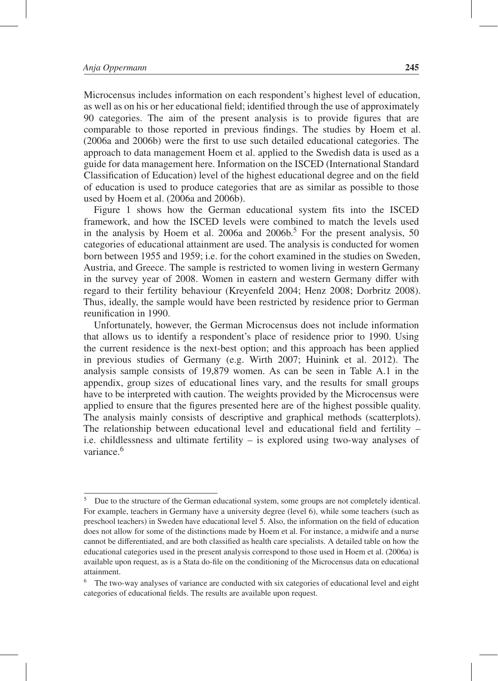Microcensus includes information on each respondent's highest level of education, as well as on his or her educational field; identified through the use of approximately 90 categories. The aim of the present analysis is to provide figures that are comparable to those reported in previous findings. The studies by Hoem et al. (2006a and 2006b) were the first to use such detailed educational categories. The approach to data management Hoem et al. applied to the Swedish data is used as a guide for data management here. Information on the ISCED (International Standard Classification of Education) level of the highest educational degree and on the field of education is used to produce categories that are as similar as possible to those used by Hoem et al. (2006a and 2006b).

Figure 1 shows how the German educational system fits into the ISCED framework, and how the ISCED levels were combined to match the levels used in the analysis by Hoem et al. 2006a and  $2006b$ <sup>5</sup>. For the present analysis, 50 categories of educational attainment are used. The analysis is conducted for women born between 1955 and 1959; i.e. for the cohort examined in the studies on Sweden, Austria, and Greece. The sample is restricted to women living in western Germany in the survey year of 2008. Women in eastern and western Germany differ with regard to their fertility behaviour (Kreyenfeld 2004; Henz 2008; Dorbritz 2008). Thus, ideally, the sample would have been restricted by residence prior to German reunification in 1990.

Unfortunately, however, the German Microcensus does not include information that allows us to identify a respondent's place of residence prior to 1990. Using the current residence is the next-best option; and this approach has been applied in previous studies of Germany (e.g. Wirth 2007; Huinink et al. 2012). The analysis sample consists of 19,879 women. As can be seen in Table A.1 in the appendix, group sizes of educational lines vary, and the results for small groups have to be interpreted with caution. The weights provided by the Microcensus were applied to ensure that the figures presented here are of the highest possible quality. The analysis mainly consists of descriptive and graphical methods (scatterplots). The relationship between educational level and educational field and fertility – i.e. childlessness and ultimate fertility – is explored using two-way analyses of variance.<sup>6</sup>

<sup>&</sup>lt;sup>5</sup> Due to the structure of the German educational system, some groups are not completely identical. For example, teachers in Germany have a university degree (level 6), while some teachers (such as preschool teachers) in Sweden have educational level 5. Also, the information on the field of education does not allow for some of the distinctions made by Hoem et al. For instance, a midwife and a nurse cannot be differentiated, and are both classified as health care specialists. A detailed table on how the educational categories used in the present analysis correspond to those used in Hoem et al. (2006a) is available upon request, as is a Stata do-file on the conditioning of the Microcensus data on educational attainment.

The two-way analyses of variance are conducted with six categories of educational level and eight categories of educational fields. The results are available upon request.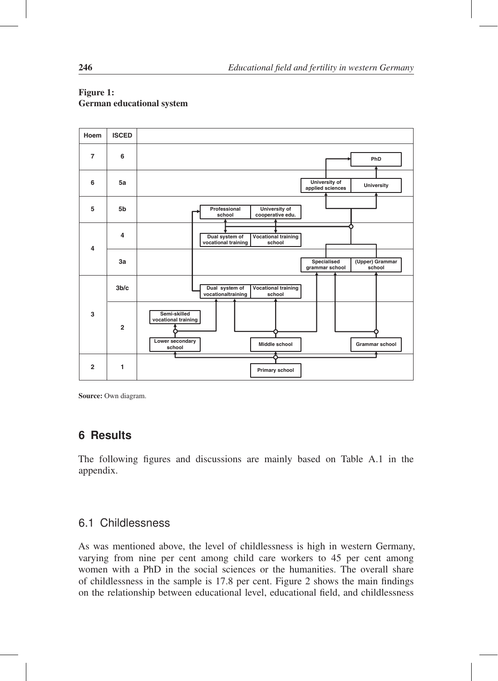

#### Figure 1: German educational system

Source: Own diagram.

## **6 Results**

The following figures and discussions are mainly based on Table A.1 in the appendix.

## 6.1 Childlessness

As was mentioned above, the level of childlessness is high in western Germany, varying from nine per cent among child care workers to 45 per cent among women with a PhD in the social sciences or the humanities. The overall share of childlessness in the sample is 17.8 per cent. Figure 2 shows the main findings on the relationship between educational level, educational field, and childlessness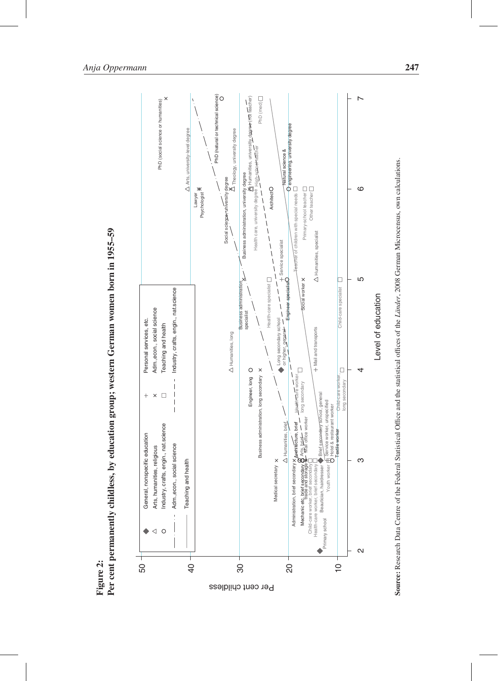



Source: Research Data Centre of the Federal Statistical Office and the statistical offices of the *Länder*, 2008 German Microcensus, own calculations. Source: Research Data Centre of the Federal Statistical Office and the statistical offices of the *L¨ander*, 2008 German Microcensus, own calculations.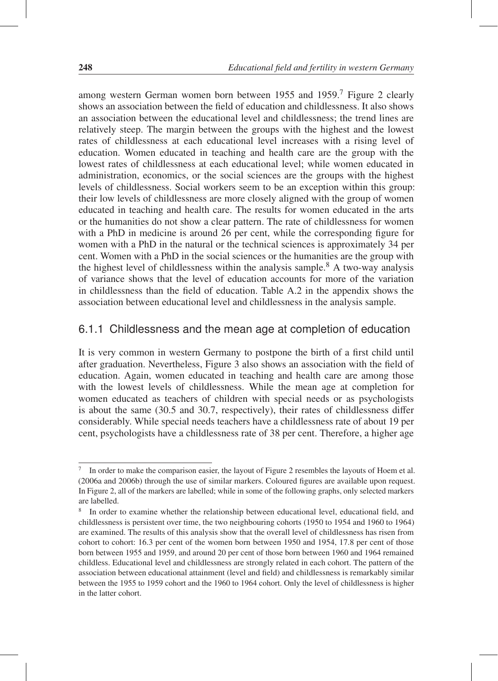among western German women born between 1955 and 1959.<sup>7</sup> Figure 2 clearly shows an association between the field of education and childlessness. It also shows an association between the educational level and childlessness; the trend lines are relatively steep. The margin between the groups with the highest and the lowest rates of childlessness at each educational level increases with a rising level of education. Women educated in teaching and health care are the group with the lowest rates of childlessness at each educational level; while women educated in administration, economics, or the social sciences are the groups with the highest levels of childlessness. Social workers seem to be an exception within this group: their low levels of childlessness are more closely aligned with the group of women educated in teaching and health care. The results for women educated in the arts or the humanities do not show a clear pattern. The rate of childlessness for women with a PhD in medicine is around 26 per cent, while the corresponding figure for women with a PhD in the natural or the technical sciences is approximately 34 per cent. Women with a PhD in the social sciences or the humanities are the group with the highest level of childlessness within the analysis sample.<sup>8</sup> A two-way analysis of variance shows that the level of education accounts for more of the variation in childlessness than the field of education. Table A.2 in the appendix shows the association between educational level and childlessness in the analysis sample.

### 6.1.1 Childlessness and the mean age at completion of education

It is very common in western Germany to postpone the birth of a first child until after graduation. Nevertheless, Figure 3 also shows an association with the field of education. Again, women educated in teaching and health care are among those with the lowest levels of childlessness. While the mean age at completion for women educated as teachers of children with special needs or as psychologists is about the same (30.5 and 30.7, respectively), their rates of childlessness differ considerably. While special needs teachers have a childlessness rate of about 19 per cent, psychologists have a childlessness rate of 38 per cent. Therefore, a higher age

<sup>&</sup>lt;sup>7</sup> In order to make the comparison easier, the layout of Figure 2 resembles the layouts of Hoem et al. (2006a and 2006b) through the use of similar markers. Coloured figures are available upon request. In Figure 2, all of the markers are labelled; while in some of the following graphs, only selected markers are labelled.

<sup>8</sup> In order to examine whether the relationship between educational level, educational field, and childlessness is persistent over time, the two neighbouring cohorts (1950 to 1954 and 1960 to 1964) are examined. The results of this analysis show that the overall level of childlessness has risen from cohort to cohort: 16.3 per cent of the women born between 1950 and 1954, 17.8 per cent of those born between 1955 and 1959, and around 20 per cent of those born between 1960 and 1964 remained childless. Educational level and childlessness are strongly related in each cohort. The pattern of the association between educational attainment (level and field) and childlessness is remarkably similar between the 1955 to 1959 cohort and the 1960 to 1964 cohort. Only the level of childlessness is higher in the latter cohort.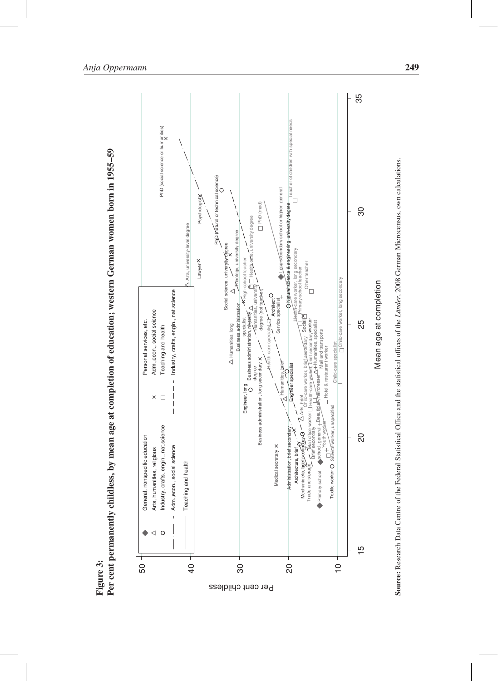

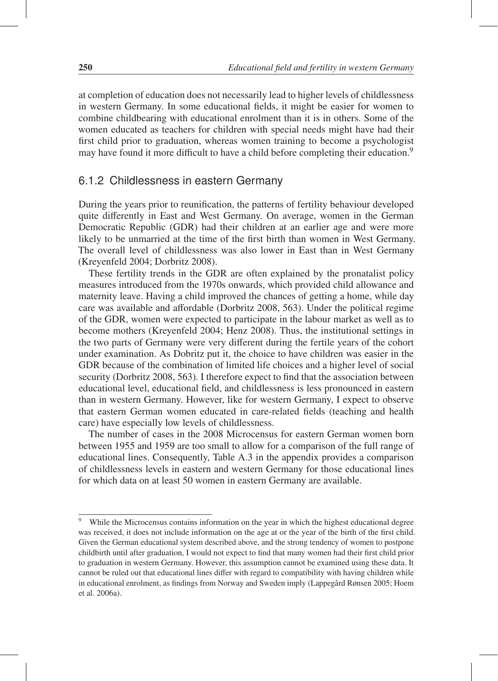at completion of education does not necessarily lead to higher levels of childlessness in western Germany. In some educational fields, it might be easier for women to combine childbearing with educational enrolment than it is in others. Some of the women educated as teachers for children with special needs might have had their first child prior to graduation, whereas women training to become a psychologist may have found it more difficult to have a child before completing their education.<sup>9</sup>

### 6.1.2 Childlessness in eastern Germany

During the years prior to reunification, the patterns of fertility behaviour developed quite differently in East and West Germany. On average, women in the German Democratic Republic (GDR) had their children at an earlier age and were more likely to be unmarried at the time of the first birth than women in West Germany. The overall level of childlessness was also lower in East than in West Germany (Kreyenfeld 2004; Dorbritz 2008).

These fertility trends in the GDR are often explained by the pronatalist policy measures introduced from the 1970s onwards, which provided child allowance and maternity leave. Having a child improved the chances of getting a home, while day care was available and affordable (Dorbritz 2008, 563). Under the political regime of the GDR, women were expected to participate in the labour market as well as to become mothers (Kreyenfeld 2004; Henz 2008). Thus, the institutional settings in the two parts of Germany were very different during the fertile years of the cohort under examination. As Dobritz put it, the choice to have children was easier in the GDR because of the combination of limited life choices and a higher level of social security (Dorbritz 2008, 563). I therefore expect to find that the association between educational level, educational field, and childlessness is less pronounced in eastern than in western Germany. However, like for western Germany, I expect to observe that eastern German women educated in care-related fields (teaching and health care) have especially low levels of childlessness.

The number of cases in the 2008 Microcensus for eastern German women born between 1955 and 1959 are too small to allow for a comparison of the full range of educational lines. Consequently, Table A.3 in the appendix provides a comparison of childlessness levels in eastern and western Germany for those educational lines for which data on at least 50 women in eastern Germany are available.

<sup>&</sup>lt;sup>9</sup> While the Microcensus contains information on the year in which the highest educational degree was received, it does not include information on the age at or the year of the birth of the first child. Given the German educational system described above, and the strong tendency of women to postpone childbirth until after graduation, I would not expect to find that many women had their first child prior to graduation in western Germany. However, this assumption cannot be examined using these data. It cannot be ruled out that educational lines differ with regard to compatibility with having children while in educational enrolment, as findings from Norway and Sweden imply (Lappegård Rønsen 2005; Hoem et al. 2006a).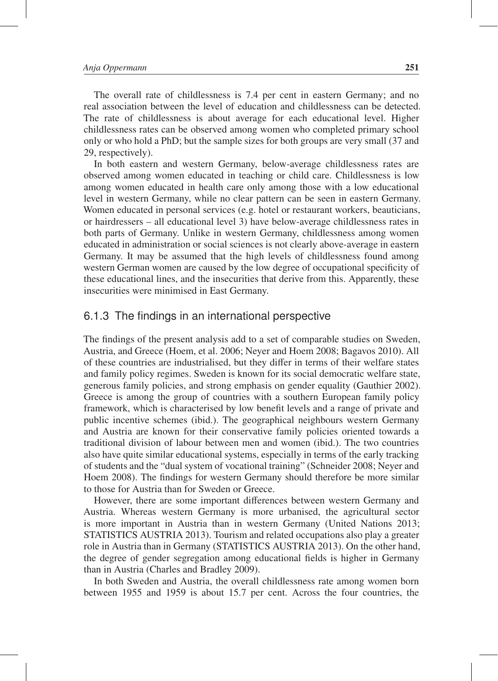The overall rate of childlessness is 7.4 per cent in eastern Germany; and no real association between the level of education and childlessness can be detected. The rate of childlessness is about average for each educational level. Higher childlessness rates can be observed among women who completed primary school only or who hold a PhD; but the sample sizes for both groups are very small (37 and 29, respectively).

In both eastern and western Germany, below-average childlessness rates are observed among women educated in teaching or child care. Childlessness is low among women educated in health care only among those with a low educational level in western Germany, while no clear pattern can be seen in eastern Germany. Women educated in personal services (e.g. hotel or restaurant workers, beauticians, or hairdressers – all educational level 3) have below-average childlessness rates in both parts of Germany. Unlike in western Germany, childlessness among women educated in administration or social sciences is not clearly above-average in eastern Germany. It may be assumed that the high levels of childlessness found among western German women are caused by the low degree of occupational specificity of these educational lines, and the insecurities that derive from this. Apparently, these insecurities were minimised in East Germany.

#### 6.1.3 The findings in an international perspective

The findings of the present analysis add to a set of comparable studies on Sweden, Austria, and Greece (Hoem, et al. 2006; Neyer and Hoem 2008; Bagavos 2010). All of these countries are industrialised, but they differ in terms of their welfare states and family policy regimes. Sweden is known for its social democratic welfare state, generous family policies, and strong emphasis on gender equality (Gauthier 2002). Greece is among the group of countries with a southern European family policy framework, which is characterised by low benefit levels and a range of private and public incentive schemes (ibid.). The geographical neighbours western Germany and Austria are known for their conservative family policies oriented towards a traditional division of labour between men and women (ibid.). The two countries also have quite similar educational systems, especially in terms of the early tracking of students and the "dual system of vocational training" (Schneider 2008; Neyer and Hoem 2008). The findings for western Germany should therefore be more similar to those for Austria than for Sweden or Greece.

However, there are some important differences between western Germany and Austria. Whereas western Germany is more urbanised, the agricultural sector is more important in Austria than in western Germany (United Nations 2013; STATISTICS AUSTRIA 2013). Tourism and related occupations also play a greater role in Austria than in Germany (STATISTICS AUSTRIA 2013). On the other hand, the degree of gender segregation among educational fields is higher in Germany than in Austria (Charles and Bradley 2009).

In both Sweden and Austria, the overall childlessness rate among women born between 1955 and 1959 is about 15.7 per cent. Across the four countries, the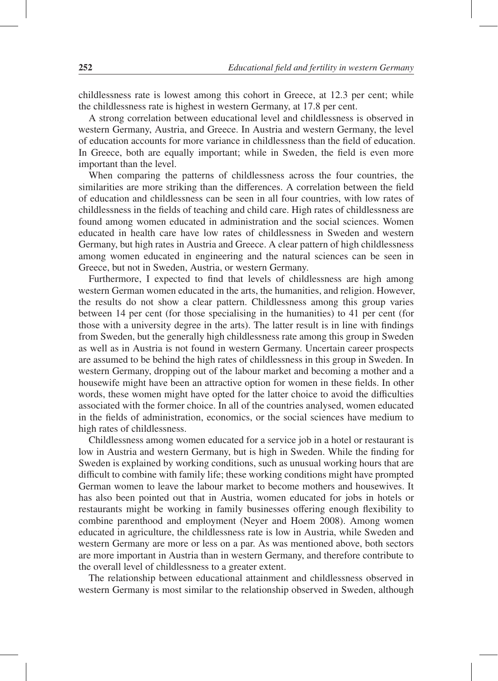childlessness rate is lowest among this cohort in Greece, at 12.3 per cent; while the childlessness rate is highest in western Germany, at 17.8 per cent.

A strong correlation between educational level and childlessness is observed in western Germany, Austria, and Greece. In Austria and western Germany, the level of education accounts for more variance in childlessness than the field of education. In Greece, both are equally important; while in Sweden, the field is even more important than the level.

When comparing the patterns of childlessness across the four countries, the similarities are more striking than the differences. A correlation between the field of education and childlessness can be seen in all four countries, with low rates of childlessness in the fields of teaching and child care. High rates of childlessness are found among women educated in administration and the social sciences. Women educated in health care have low rates of childlessness in Sweden and western Germany, but high rates in Austria and Greece. A clear pattern of high childlessness among women educated in engineering and the natural sciences can be seen in Greece, but not in Sweden, Austria, or western Germany.

Furthermore, I expected to find that levels of childlessness are high among western German women educated in the arts, the humanities, and religion. However, the results do not show a clear pattern. Childlessness among this group varies between 14 per cent (for those specialising in the humanities) to 41 per cent (for those with a university degree in the arts). The latter result is in line with findings from Sweden, but the generally high childlessness rate among this group in Sweden as well as in Austria is not found in western Germany. Uncertain career prospects are assumed to be behind the high rates of childlessness in this group in Sweden. In western Germany, dropping out of the labour market and becoming a mother and a housewife might have been an attractive option for women in these fields. In other words, these women might have opted for the latter choice to avoid the difficulties associated with the former choice. In all of the countries analysed, women educated in the fields of administration, economics, or the social sciences have medium to high rates of childlessness.

Childlessness among women educated for a service job in a hotel or restaurant is low in Austria and western Germany, but is high in Sweden. While the finding for Sweden is explained by working conditions, such as unusual working hours that are difficult to combine with family life; these working conditions might have prompted German women to leave the labour market to become mothers and housewives. It has also been pointed out that in Austria, women educated for jobs in hotels or restaurants might be working in family businesses offering enough flexibility to combine parenthood and employment (Neyer and Hoem 2008). Among women educated in agriculture, the childlessness rate is low in Austria, while Sweden and western Germany are more or less on a par. As was mentioned above, both sectors are more important in Austria than in western Germany, and therefore contribute to the overall level of childlessness to a greater extent.

The relationship between educational attainment and childlessness observed in western Germany is most similar to the relationship observed in Sweden, although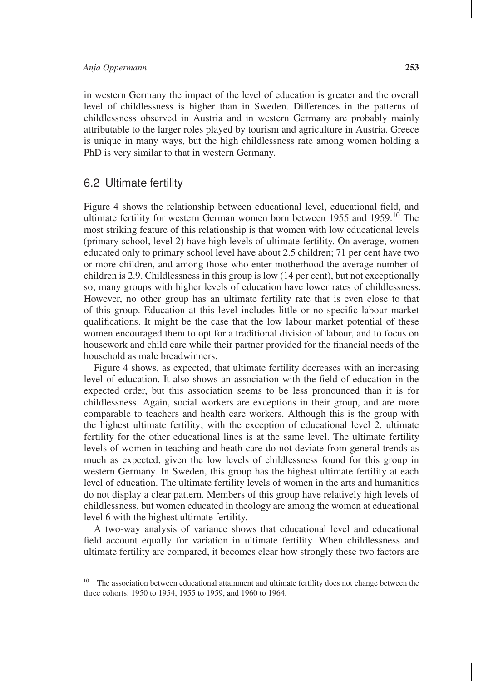in western Germany the impact of the level of education is greater and the overall level of childlessness is higher than in Sweden. Differences in the patterns of childlessness observed in Austria and in western Germany are probably mainly attributable to the larger roles played by tourism and agriculture in Austria. Greece is unique in many ways, but the high childlessness rate among women holding a PhD is very similar to that in western Germany.

#### 6.2 Ultimate fertility

Figure 4 shows the relationship between educational level, educational field, and ultimate fertility for western German women born between 1955 and 1959.<sup>10</sup> The most striking feature of this relationship is that women with low educational levels (primary school, level 2) have high levels of ultimate fertility. On average, women educated only to primary school level have about 2.5 children; 71 per cent have two or more children, and among those who enter motherhood the average number of children is 2.9. Childlessness in this group is low (14 per cent), but not exceptionally so; many groups with higher levels of education have lower rates of childlessness. However, no other group has an ultimate fertility rate that is even close to that of this group. Education at this level includes little or no specific labour market qualifications. It might be the case that the low labour market potential of these women encouraged them to opt for a traditional division of labour, and to focus on housework and child care while their partner provided for the financial needs of the household as male breadwinners.

Figure 4 shows, as expected, that ultimate fertility decreases with an increasing level of education. It also shows an association with the field of education in the expected order, but this association seems to be less pronounced than it is for childlessness. Again, social workers are exceptions in their group, and are more comparable to teachers and health care workers. Although this is the group with the highest ultimate fertility; with the exception of educational level 2, ultimate fertility for the other educational lines is at the same level. The ultimate fertility levels of women in teaching and heath care do not deviate from general trends as much as expected, given the low levels of childlessness found for this group in western Germany. In Sweden, this group has the highest ultimate fertility at each level of education. The ultimate fertility levels of women in the arts and humanities do not display a clear pattern. Members of this group have relatively high levels of childlessness, but women educated in theology are among the women at educational level 6 with the highest ultimate fertility.

A two-way analysis of variance shows that educational level and educational field account equally for variation in ultimate fertility. When childlessness and ultimate fertility are compared, it becomes clear how strongly these two factors are

<sup>10</sup> The association between educational attainment and ultimate fertility does not change between the three cohorts: 1950 to 1954, 1955 to 1959, and 1960 to 1964.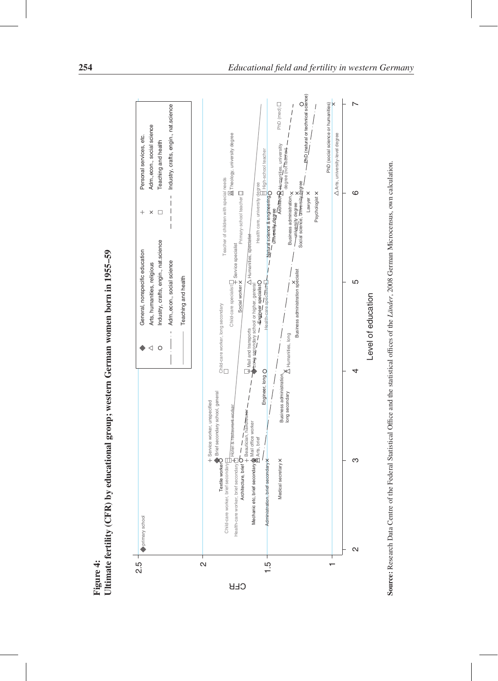

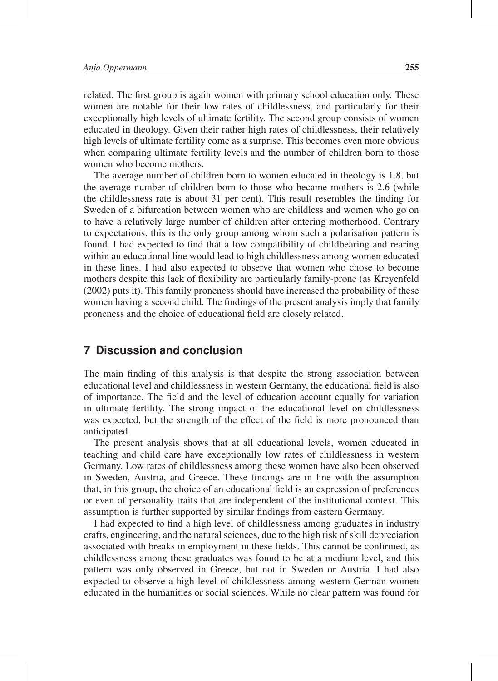related. The first group is again women with primary school education only. These women are notable for their low rates of childlessness, and particularly for their exceptionally high levels of ultimate fertility. The second group consists of women educated in theology. Given their rather high rates of childlessness, their relatively high levels of ultimate fertility come as a surprise. This becomes even more obvious when comparing ultimate fertility levels and the number of children born to those women who become mothers.

The average number of children born to women educated in theology is 1.8, but the average number of children born to those who became mothers is 2.6 (while the childlessness rate is about 31 per cent). This result resembles the finding for Sweden of a bifurcation between women who are childless and women who go on to have a relatively large number of children after entering motherhood. Contrary to expectations, this is the only group among whom such a polarisation pattern is found. I had expected to find that a low compatibility of childbearing and rearing within an educational line would lead to high childlessness among women educated in these lines. I had also expected to observe that women who chose to become mothers despite this lack of flexibility are particularly family-prone (as Kreyenfeld (2002) puts it). This family proneness should have increased the probability of these women having a second child. The findings of the present analysis imply that family proneness and the choice of educational field are closely related.

#### **7 Discussion and conclusion**

The main finding of this analysis is that despite the strong association between educational level and childlessness in western Germany, the educational field is also of importance. The field and the level of education account equally for variation in ultimate fertility. The strong impact of the educational level on childlessness was expected, but the strength of the effect of the field is more pronounced than anticipated.

The present analysis shows that at all educational levels, women educated in teaching and child care have exceptionally low rates of childlessness in western Germany. Low rates of childlessness among these women have also been observed in Sweden, Austria, and Greece. These findings are in line with the assumption that, in this group, the choice of an educational field is an expression of preferences or even of personality traits that are independent of the institutional context. This assumption is further supported by similar findings from eastern Germany.

I had expected to find a high level of childlessness among graduates in industry crafts, engineering, and the natural sciences, due to the high risk of skill depreciation associated with breaks in employment in these fields. This cannot be confirmed, as childlessness among these graduates was found to be at a medium level, and this pattern was only observed in Greece, but not in Sweden or Austria. I had also expected to observe a high level of childlessness among western German women educated in the humanities or social sciences. While no clear pattern was found for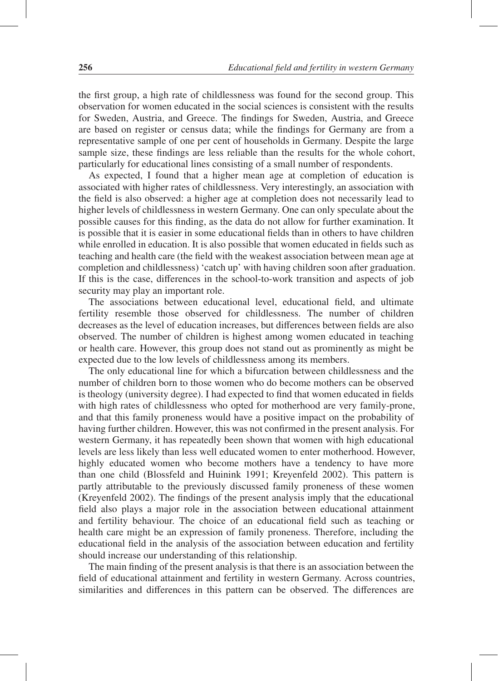the first group, a high rate of childlessness was found for the second group. This observation for women educated in the social sciences is consistent with the results for Sweden, Austria, and Greece. The findings for Sweden, Austria, and Greece are based on register or census data; while the findings for Germany are from a representative sample of one per cent of households in Germany. Despite the large sample size, these findings are less reliable than the results for the whole cohort, particularly for educational lines consisting of a small number of respondents.

As expected, I found that a higher mean age at completion of education is associated with higher rates of childlessness. Very interestingly, an association with the field is also observed: a higher age at completion does not necessarily lead to higher levels of childlessness in western Germany. One can only speculate about the possible causes for this finding, as the data do not allow for further examination. It is possible that it is easier in some educational fields than in others to have children while enrolled in education. It is also possible that women educated in fields such as teaching and health care (the field with the weakest association between mean age at completion and childlessness) 'catch up' with having children soon after graduation. If this is the case, differences in the school-to-work transition and aspects of job security may play an important role.

The associations between educational level, educational field, and ultimate fertility resemble those observed for childlessness. The number of children decreases as the level of education increases, but differences between fields are also observed. The number of children is highest among women educated in teaching or health care. However, this group does not stand out as prominently as might be expected due to the low levels of childlessness among its members.

The only educational line for which a bifurcation between childlessness and the number of children born to those women who do become mothers can be observed is theology (university degree). I had expected to find that women educated in fields with high rates of childlessness who opted for motherhood are very family-prone, and that this family proneness would have a positive impact on the probability of having further children. However, this was not confirmed in the present analysis. For western Germany, it has repeatedly been shown that women with high educational levels are less likely than less well educated women to enter motherhood. However, highly educated women who become mothers have a tendency to have more than one child (Blossfeld and Huinink 1991; Kreyenfeld 2002). This pattern is partly attributable to the previously discussed family proneness of these women (Kreyenfeld 2002). The findings of the present analysis imply that the educational field also plays a major role in the association between educational attainment and fertility behaviour. The choice of an educational field such as teaching or health care might be an expression of family proneness. Therefore, including the educational field in the analysis of the association between education and fertility should increase our understanding of this relationship.

The main finding of the present analysis is that there is an association between the field of educational attainment and fertility in western Germany. Across countries, similarities and differences in this pattern can be observed. The differences are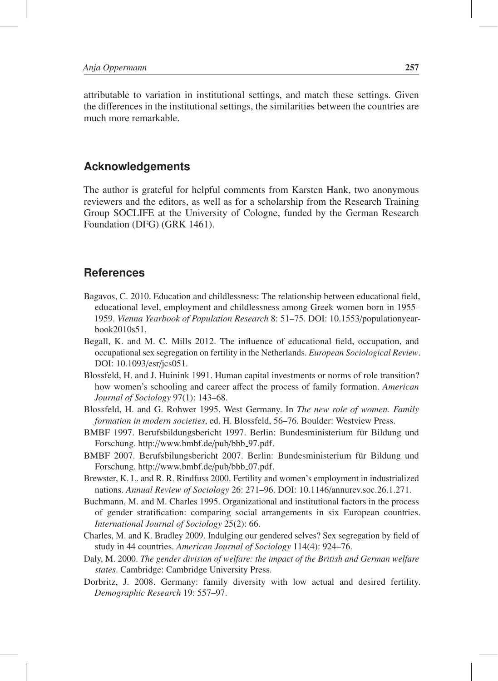attributable to variation in institutional settings, and match these settings. Given the differences in the institutional settings, the similarities between the countries are much more remarkable.

#### **Acknowledgements**

The author is grateful for helpful comments from Karsten Hank, two anonymous reviewers and the editors, as well as for a scholarship from the Research Training Group SOCLIFE at the University of Cologne, funded by the German Research Foundation (DFG) (GRK 1461).

#### **References**

- Bagavos, C. 2010. Education and childlessness: The relationship between educational field, educational level, employment and childlessness among Greek women born in 1955– 1959. *Vienna Yearbook of Population Research* 8: 51–75. DOI: 10.1553/populationyearbook2010s51.
- Begall, K. and M. C. Mills 2012. The influence of educational field, occupation, and occupational sex segregation on fertility in the Netherlands. *European Sociological Review*. DOI: 10.1093/esr/jcs051.
- Blossfeld, H. and J. Huinink 1991. Human capital investments or norms of role transition? how women's schooling and career affect the process of family formation. *American Journal of Sociology* 97(1): 143–68.
- Blossfeld, H. and G. Rohwer 1995. West Germany. In *The new role of women. Family formation in modern societies*, ed. H. Blossfeld, 56–76. Boulder: Westview Press.
- BMBF 1997. Berufsbildungsbericht 1997. Berlin: Bundesministerium für Bildung und Forschung. http://www.bmbf.de/pub/bbb\_97.pdf.
- BMBF 2007. Berufsbilungsbericht 2007. Berlin: Bundesministerium für Bildung und Forschung. http://www.bmbf.de/pub/bbb\_07.pdf.
- Brewster, K. L. and R. R. Rindfuss 2000. Fertility and women's employment in industrialized nations. *Annual Review of Sociology* 26: 271–96. DOI: 10.1146/annurev.soc.26.1.271.
- Buchmann, M. and M. Charles 1995. Organizational and institutional factors in the process of gender stratification: comparing social arrangements in six European countries. *International Journal of Sociology* 25(2): 66.
- Charles, M. and K. Bradley 2009. Indulging our gendered selves? Sex segregation by field of study in 44 countries. *American Journal of Sociology* 114(4): 924–76.
- Daly, M. 2000. *The gender division of welfare: the impact of the British and German welfare states*. Cambridge: Cambridge University Press.
- Dorbritz, J. 2008. Germany: family diversity with low actual and desired fertility. *Demographic Research* 19: 557–97.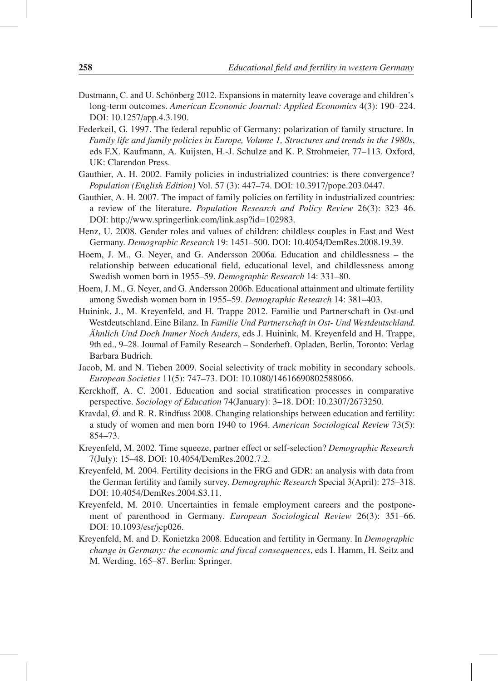- Dustmann, C. and U. Schönberg 2012. Expansions in maternity leave coverage and children's long-term outcomes. *American Economic Journal: Applied Economics* 4(3): 190–224. DOI: 10.1257/app.4.3.190.
- Federkeil, G. 1997. The federal republic of Germany: polarization of family structure. In *Family life and family policies in Europe, Volume 1, Structures and trends in the 1980s*, eds F.X. Kaufmann, A. Kuijsten, H.-J. Schulze and K. P. Strohmeier, 77–113. Oxford, UK: Clarendon Press.
- Gauthier, A. H. 2002. Family policies in industrialized countries: is there convergence? *Population (English Edition)* Vol. 57 (3): 447–74. DOI: 10.3917/pope.203.0447.
- Gauthier, A. H. 2007. The impact of family policies on fertility in industrialized countries: a review of the literature. *Population Research and Policy Review* 26(3): 323–46. DOI: http://www.springerlink.com/link.asp?id=102983.
- Henz, U. 2008. Gender roles and values of children: childless couples in East and West Germany. *Demographic Research* 19: 1451–500. DOI: 10.4054/DemRes.2008.19.39.
- Hoem, J. M., G. Neyer, and G. Andersson 2006a. Education and childlessness the relationship between educational field, educational level, and childlessness among Swedish women born in 1955–59. *Demographic Research* 14: 331–80.
- Hoem, J. M., G. Neyer, and G. Andersson 2006b. Educational attainment and ultimate fertility among Swedish women born in 1955–59. *Demographic Research* 14: 381–403.
- Huinink, J., M. Kreyenfeld, and H. Trappe 2012. Familie und Partnerschaft in Ost-und Westdeutschland. Eine Bilanz. In *Familie Und Partnerschaft in Ost- Und Westdeutschland. Ahnlich Und Doch Immer Noch Anders ¨* , eds J. Huinink, M. Kreyenfeld and H. Trappe, 9th ed., 9–28. Journal of Family Research – Sonderheft. Opladen, Berlin, Toronto: Verlag Barbara Budrich.
- Jacob, M. and N. Tieben 2009. Social selectivity of track mobility in secondary schools. *European Societies* 11(5): 747–73. DOI: 10.1080/14616690802588066.
- Kerckhoff, A. C. 2001. Education and social stratification processes in comparative perspective. *Sociology of Education* 74(January): 3–18. DOI: 10.2307/2673250.
- Kravdal, Ø. and R. R. Rindfuss 2008. Changing relationships between education and fertility: a study of women and men born 1940 to 1964. *American Sociological Review* 73(5): 854–73.
- Kreyenfeld, M. 2002. Time squeeze, partner effect or self-selection? *Demographic Research* 7(July): 15–48. DOI: 10.4054/DemRes.2002.7.2.
- Kreyenfeld, M. 2004. Fertility decisions in the FRG and GDR: an analysis with data from the German fertility and family survey. *Demographic Research* Special 3(April): 275–318. DOI: 10.4054/DemRes.2004.S3.11.
- Kreyenfeld, M. 2010. Uncertainties in female employment careers and the postponement of parenthood in Germany. *European Sociological Review* 26(3): 351–66. DOI: 10.1093/esr/jcp026.
- Kreyenfeld, M. and D. Konietzka 2008. Education and fertility in Germany. In *Demographic change in Germany: the economic and fiscal consequences*, eds I. Hamm, H. Seitz and M. Werding, 165–87. Berlin: Springer.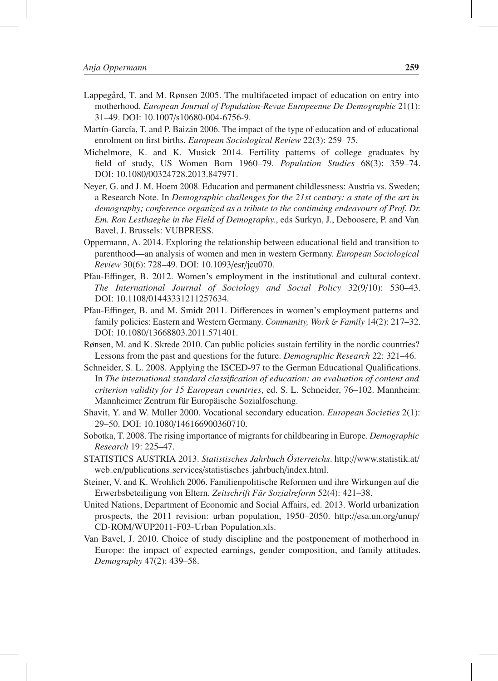- Lappegård, T. and M. Rønsen 2005. The multifaceted impact of education on entry into motherhood. *European Journal of Population-Revue Europeenne De Demographie* 21(1): 31–49. DOI: 10.1007/s10680-004-6756-9.
- Martín-García, T. and P. Baizán 2006. The impact of the type of education and of educational enrolment on first births. *European Sociological Review* 22(3): 259–75.
- Michelmore, K. and K. Musick 2014. Fertility patterns of college graduates by field of study, US Women Born 1960–79. *Population Studies* 68(3): 359–74. DOI: 10.1080/00324728.2013.847971.
- Neyer, G. and J. M. Hoem 2008. Education and permanent childlessness: Austria vs. Sweden; a Research Note. In *Demographic challenges for the 21st century: a state of the art in demography; conference organized as a tribute to the continuing endeavours of Prof. Dr. Em. Ron Lesthaeghe in the Field of Demography.*, eds Surkyn, J., Deboosere, P. and Van Bavel, J. Brussels: VUBPRESS.
- Oppermann, A. 2014. Exploring the relationship between educational field and transition to parenthood—an analysis of women and men in western Germany. *European Sociological Review* 30(6): 728–49. DOI: 10.1093/esr/jcu070.
- Pfau-Effinger, B. 2012. Women's employment in the institutional and cultural context. *The International Journal of Sociology and Social Policy* 32(9/10): 530–43. DOI: 10.1108/01443331211257634.
- Pfau-Effinger, B. and M. Smidt 2011. Differences in women's employment patterns and family policies: Eastern and Western Germany. *Community, Work* & *Family* 14(2): 217–32. DOI: 10.1080/13668803.2011.571401.
- Rønsen, M. and K. Skrede 2010. Can public policies sustain fertility in the nordic countries? Lessons from the past and questions for the future. *Demographic Research* 22: 321–46.
- Schneider, S. L. 2008. Applying the ISCED-97 to the German Educational Qualifications. In *The international standard classification of education: an evaluation of content and criterion validity for 15 European countries*, ed. S. L. Schneider, 76–102. Mannheim: Mannheimer Zentrum für Europäische Sozialfoschung.
- Shavit, Y. and W. Müller 2000. Vocational secondary education. *European Societies* 2(1): 29–50. DOI: 10.1080/146166900360710.
- Sobotka, T. 2008. The rising importance of migrants for childbearing in Europe. *Demographic Research* 19: 225–47.
- STATISTICS AUSTRIA 2013. *Statistisches Jahrbuch Osterreichs ¨* . http://www.statistik.at/ web en/publications services/statistisches jahrbuch/index.html.
- Steiner, V. and K. Wrohlich 2006. Familienpolitische Reformen und ihre Wirkungen auf die Erwerbsbeteiligung von Eltern. Zeitschrift Für Sozialreform 52(4): 421-38.
- United Nations, Department of Economic and Social Affairs, ed. 2013. World urbanization prospects, the 2011 revision: urban population, 1950–2050. http://esa.un.org/unup/ CD-ROM/WUP2011-F03-Urban Population.xls.
- Van Bavel, J. 2010. Choice of study discipline and the postponement of motherhood in Europe: the impact of expected earnings, gender composition, and family attitudes. *Demography* 47(2): 439–58.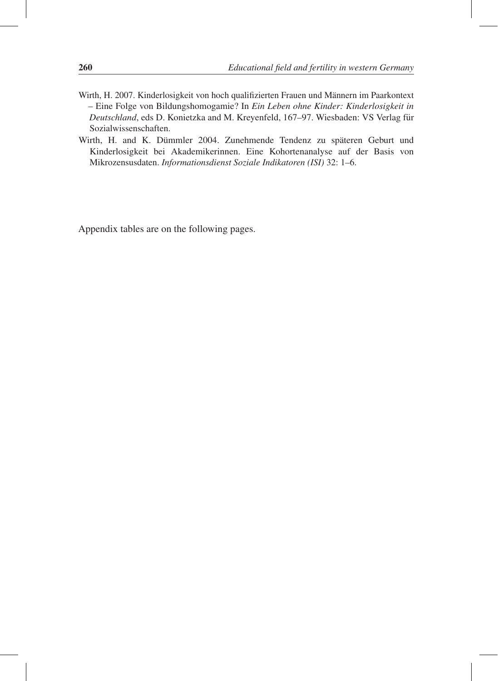- Wirth, H. 2007. Kinderlosigkeit von hoch qualifizierten Frauen und Männern im Paarkontext – Eine Folge von Bildungshomogamie? In *Ein Leben ohne Kinder: Kinderlosigkeit in Deutschland*, eds D. Konietzka and M. Kreyenfeld, 167–97. Wiesbaden: VS Verlag für Sozialwissenschaften.
- Wirth, H. and K. Dümmler 2004. Zunehmende Tendenz zu späteren Geburt und Kinderlosigkeit bei Akademikerinnen. Eine Kohortenanalyse auf der Basis von Mikrozensusdaten. *Informationsdienst Soziale Indikatoren (ISI)* 32: 1–6.

Appendix tables are on the following pages.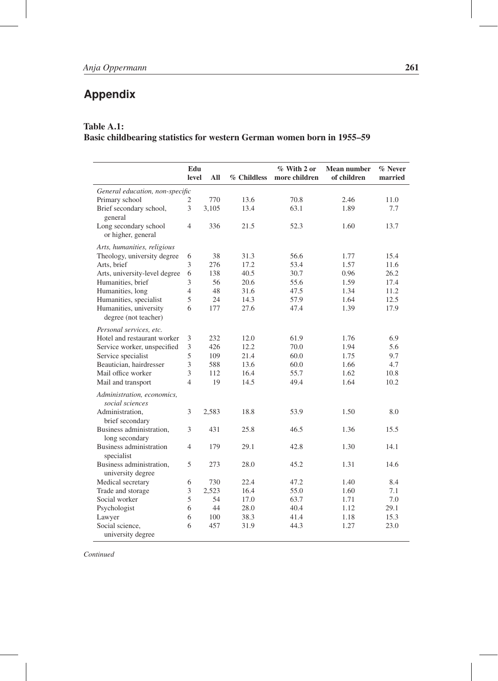## **Appendix**

#### Table A.1:

#### Basic childbearing statistics for western German women born in 1955–59

|                                                | Edu<br>level   | All   | % Childless | % With 2 or<br>more children | Mean number<br>of children | % Never<br>married |
|------------------------------------------------|----------------|-------|-------------|------------------------------|----------------------------|--------------------|
| General education, non-specific                |                |       |             |                              |                            |                    |
| Primary school                                 | 2              | 770   | 13.6        | 70.8                         | 2.46                       | 11.0               |
| Brief secondary school,                        | 3              | 3,105 | 13.4        | 63.1                         | 1.89                       | 7.7                |
| general                                        |                |       |             |                              |                            |                    |
| Long secondary school<br>or higher, general    | $\overline{4}$ | 336   | 21.5        | 52.3                         | 1.60                       | 13.7               |
| Arts, humanities, religious                    |                |       |             |                              |                            |                    |
| Theology, university degree                    | 6              | 38    | 31.3        | 56.6                         | 1.77                       | 15.4               |
| Arts, brief                                    | 3              | 276   | 17.2        | 53.4                         | 1.57                       | 11.6               |
| Arts, university-level degree                  | 6              | 138   | 40.5        | 30.7                         | 0.96                       | 26.2               |
| Humanities, brief                              | 3              | 56    | 20.6        | 55.6                         | 1.59                       | 17.4               |
| Humanities, long                               | $\overline{4}$ | 48    | 31.6        | 47.5                         | 1.34                       | 11.2               |
| Humanities, specialist                         | 5              | 24    | 14.3        | 57.9                         | 1.64                       | 12.5               |
| Humanities, university<br>degree (not teacher) | 6              | 177   | 27.6        | 47.4                         | 1.39                       | 17.9               |
|                                                |                |       |             |                              |                            |                    |
| Personal services, etc.                        |                |       |             |                              |                            |                    |
| Hotel and restaurant worker                    | 3              | 232   | 12.0        | 61.9                         | 1.76                       | 6.9                |
| Service worker, unspecified                    | 3              | 426   | 12.2        | 70.0                         | 1.94                       | 5.6                |
| Service specialist                             | 5              | 109   | 21.4        | 60.0                         | 1.75                       | 9.7                |
| Beautician, hairdresser                        | 3              | 588   | 13.6        | 60.0                         | 1.66                       | 4.7                |
| Mail office worker                             | 3              | 112   | 16.4        | 55.7                         | 1.62                       | 10.8               |
| Mail and transport                             | $\overline{4}$ | 19    | 14.5        | 49.4                         | 1.64                       | 10.2               |
| Administration, economics,<br>social sciences  |                |       |             |                              |                            |                    |
| Administration,                                | 3              | 2,583 | 18.8        | 53.9                         | 1.50                       | 8.0                |
| brief secondary                                |                |       |             |                              |                            |                    |
| Business administration,<br>long secondary     | 3              | 431   | 25.8        | 46.5                         | 1.36                       | 15.5               |
| Business administration<br>specialist          | $\overline{4}$ | 179   | 29.1        | 42.8                         | 1.30                       | 14.1               |
| Business administration,<br>university degree  | 5              | 273   | 28.0        | 45.2                         | 1.31                       | 14.6               |
| Medical secretary                              | 6              | 730   | 22.4        | 47.2                         | 1.40                       | 8.4                |
| Trade and storage                              | 3              | 2,523 | 16.4        | 55.0                         | 1.60                       | 7.1                |
| Social worker                                  | 5              | 54    | 17.0        | 63.7                         | 1.71                       | 7.0                |
| Psychologist                                   | 6              | 44    | 28.0        | 40.4                         | 1.12                       | 29.1               |
| Lawyer                                         | 6              | 100   | 38.3        | 41.4                         | 1.18                       | 15.3               |
| Social science,                                | 6              | 457   | 31.9        | 44.3                         | 1.27                       | 23.0               |
| university degree                              |                |       |             |                              |                            |                    |

*Continued*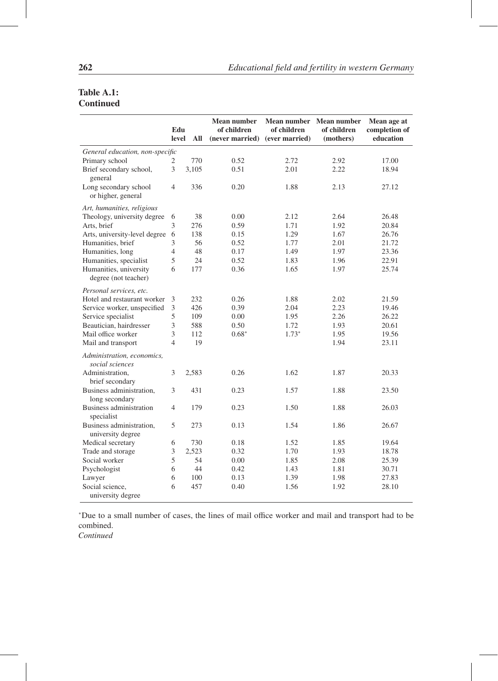#### Table A.1: **Continued**

|                                                | Edu<br>level   | All   | <b>Mean number</b><br>of children<br>(never married) | Mean number Mean number<br>of children<br>(ever married) | of children<br>(mothers) | Mean age at<br>completion of<br>education |
|------------------------------------------------|----------------|-------|------------------------------------------------------|----------------------------------------------------------|--------------------------|-------------------------------------------|
| General education, non-specific                |                |       |                                                      |                                                          |                          |                                           |
| Primary school                                 | 2              | 770   | 0.52                                                 | 2.72                                                     | 2.92                     | 17.00                                     |
| Brief secondary school,<br>general             | 3              | 3.105 | 0.51                                                 | 2.01                                                     | 2.22                     | 18.94                                     |
| Long secondary school<br>or higher, general    | 4              | 336   | 0.20                                                 | 1.88                                                     | 2.13                     | 27.12                                     |
| Art, humanities, religious                     |                |       |                                                      |                                                          |                          |                                           |
| Theology, university degree                    | 6              | 38    | 0.00                                                 | 2.12                                                     | 2.64                     | 26.48                                     |
| Arts, brief                                    | 3              | 276   | 0.59                                                 | 1.71                                                     | 1.92                     | 20.84                                     |
| Arts, university-level degree                  | 6              | 138   | 0.15                                                 | 1.29                                                     | 1.67                     | 26.76                                     |
| Humanities, brief                              | 3              | 56    | 0.52                                                 | 1.77                                                     | 2.01                     | 21.72                                     |
| Humanities, long                               | $\overline{4}$ | 48    | 0.17                                                 | 1.49                                                     | 1.97                     | 23.36                                     |
| Humanities, specialist                         | 5              | 24    | 0.52                                                 | 1.83                                                     | 1.96                     | 22.91                                     |
| Humanities, university<br>degree (not teacher) | 6              | 177   | 0.36                                                 | 1.65                                                     | 1.97                     | 25.74                                     |
| Personal services, etc.                        |                |       |                                                      |                                                          |                          |                                           |
| Hotel and restaurant worker                    | 3              | 232   | 0.26                                                 | 1.88                                                     | 2.02                     | 21.59                                     |
| Service worker, unspecified                    | 3              | 426   | 0.39                                                 | 2.04                                                     | 2.23                     | 19.46                                     |
| Service specialist                             | 5              | 109   | 0.00                                                 | 1.95                                                     | 2.26                     | 26.22                                     |
| Beautician, hairdresser                        | 3              | 588   | 0.50                                                 | 1.72                                                     | 1.93                     | 20.61                                     |
| Mail office worker                             | 3              | 112   | $0.68*$                                              | $1.73*$                                                  | 1.95                     | 19.56                                     |
| Mail and transport                             | $\overline{4}$ | 19    |                                                      |                                                          | 1.94                     | 23.11                                     |
| Administration, economics,<br>social sciences  |                |       |                                                      |                                                          |                          |                                           |
| Administration,<br>brief secondary             | 3              | 2,583 | 0.26                                                 | 1.62                                                     | 1.87                     | 20.33                                     |
| Business administration,<br>long secondary     | 3              | 431   | 0.23                                                 | 1.57                                                     | 1.88                     | 23.50                                     |
| Business administration<br>specialist          | 4              | 179   | 0.23                                                 | 1.50                                                     | 1.88                     | 26.03                                     |
| Business administration,<br>university degree  | 5              | 273   | 0.13                                                 | 1.54                                                     | 1.86                     | 26.67                                     |
| Medical secretary                              | 6              | 730   | 0.18                                                 | 1.52                                                     | 1.85                     | 19.64                                     |
| Trade and storage                              | 3              | 2,523 | 0.32                                                 | 1.70                                                     | 1.93                     | 18.78                                     |
| Social worker                                  | 5              | 54    | 0.00                                                 | 1.85                                                     | 2.08                     | 25.39                                     |
| Psychologist                                   | 6              | 44    | 0.42                                                 | 1.43                                                     | 1.81                     | 30.71                                     |
| Lawyer                                         | 6              | 100   | 0.13                                                 | 1.39                                                     | 1.98                     | 27.83                                     |
| Social science,<br>university degree           | 6              | 457   | 0.40                                                 | 1.56                                                     | 1.92                     | 28.10                                     |

<sup>∗</sup>Due to a small number of cases, the lines of mail office worker and mail and transport had to be combined.

*Continued*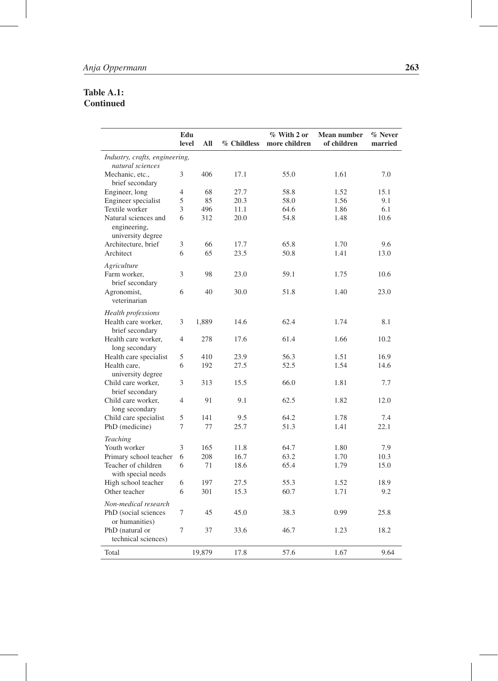#### Table A.1: Continued

|                                                           | Edu<br>level   | All    | % Childless | % With 2 or<br>more children | <b>Mean number</b><br>of children | % Never<br>married |
|-----------------------------------------------------------|----------------|--------|-------------|------------------------------|-----------------------------------|--------------------|
| Industry, crafts, engineering,<br>natural sciences        |                |        |             |                              |                                   |                    |
| Mechanic, etc.,<br>brief secondary                        | 3              | 406    | 17.1        | 55.0                         | 1.61                              | 7.0                |
| Engineer, long                                            | $\overline{4}$ | 68     | 27.7        | 58.8                         | 1.52                              | 15.1               |
| Engineer specialist                                       | 5              | 85     | 20.3        | 58.0                         | 1.56                              | 9.1                |
| Textile worker                                            | 3              | 496    | 11.1        | 64.6                         | 1.86                              | 6.1                |
| Natural sciences and<br>engineering,<br>university degree | 6              | 312    | 20.0        | 54.8                         | 1.48                              | 10.6               |
| Architecture, brief                                       | 3              | 66     | 17.7        | 65.8                         | 1.70                              | 9.6                |
| Architect                                                 | 6              | 65     | 23.5        | 50.8                         | 1.41                              | 13.0               |
| Agriculture                                               |                |        |             |                              |                                   |                    |
| Farm worker.<br>brief secondary                           | 3              | 98     | 23.0        | 59.1                         | 1.75                              | 10.6               |
| Agronomist,<br>veterinarian                               | 6              | 40     | 30.0        | 51.8                         | 1.40                              | 23.0               |
| Health professions                                        |                |        |             |                              |                                   |                    |
| Health care worker.<br>brief secondary                    | 3              | 1,889  | 14.6        | 62.4                         | 1.74                              | 8.1                |
| Health care worker,<br>long secondary                     | $\overline{4}$ | 278    | 17.6        | 61.4                         | 1.66                              | 10.2               |
| Health care specialist                                    | 5              | 410    | 23.9        | 56.3                         | 1.51                              | 16.9               |
| Health care.<br>university degree                         | 6              | 192    | 27.5        | 52.5                         | 1.54                              | 14.6               |
| Child care worker,<br>brief secondary                     | 3              | 313    | 15.5        | 66.0                         | 1.81                              | 7.7                |
| Child care worker.<br>long secondary                      | $\overline{4}$ | 91     | 9.1         | 62.5                         | 1.82                              | 12.0               |
| Child care specialist                                     | 5              | 141    | 9.5         | 64.2                         | 1.78                              | 7.4                |
| PhD (medicine)                                            | 7              | 77     | 25.7        | 51.3                         | 1.41                              | 22.1               |
| <b>Teaching</b>                                           |                |        |             |                              |                                   |                    |
| Youth worker                                              | 3              | 165    | 11.8        | 64.7                         | 1.80                              | 7.9                |
| Primary school teacher                                    | 6              | 208    | 16.7        | 63.2                         | 1.70                              | 10.3               |
| Teacher of children<br>with special needs                 | 6              | 71     | 18.6        | 65.4                         | 1.79                              | 15.0               |
| High school teacher                                       | 6              | 197    | 27.5        | 55.3                         | 1.52                              | 18.9               |
| Other teacher                                             | 6              | 301    | 15.3        | 60.7                         | 1.71                              | 9.2                |
| Non-medical research                                      |                |        |             |                              |                                   |                    |
| PhD (social sciences<br>or humanities)                    | 7              | 45     | 45.0        | 38.3                         | 0.99                              | 25.8               |
| PhD (natural or<br>technical sciences)                    | 7              | 37     | 33.6        | 46.7                         | 1.23                              | 18.2               |
| Total                                                     |                | 19,879 | 17.8        | 57.6                         | 1.67                              | 9.64               |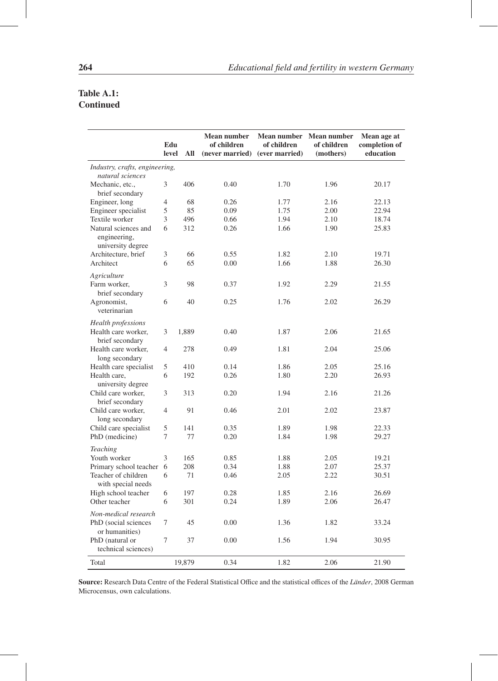#### Table A.1: **Continued**

|                                                           | Edu<br>level   | All    | <b>Mean number</b><br>of children<br>(never married) (ever married) | <b>Mean number</b><br>of children | <b>Mean number</b><br>of children<br>(mothers) | Mean age at<br>completion of<br>education |
|-----------------------------------------------------------|----------------|--------|---------------------------------------------------------------------|-----------------------------------|------------------------------------------------|-------------------------------------------|
| Industry, crafts, engineering,                            |                |        |                                                                     |                                   |                                                |                                           |
| natural sciences                                          |                |        |                                                                     |                                   |                                                |                                           |
| Mechanic, etc.,                                           | 3              | 406    | 0.40                                                                | 1.70                              | 1.96                                           | 20.17                                     |
| brief secondary                                           |                |        |                                                                     |                                   |                                                |                                           |
| Engineer, long                                            | $\overline{4}$ | 68     | 0.26                                                                | 1.77                              | 2.16                                           | 22.13                                     |
| Engineer specialist                                       | 5              | 85     | 0.09                                                                | 1.75                              | 2.00                                           | 22.94                                     |
| Textile worker                                            | 3              | 496    | 0.66                                                                | 1.94                              | 2.10                                           | 18.74                                     |
| Natural sciences and<br>engineering,<br>university degree | 6              | 312    | 0.26                                                                | 1.66                              | 1.90                                           | 25.83                                     |
| Architecture, brief                                       | 3              | 66     | 0.55                                                                | 1.82                              | 2.10                                           | 19.71                                     |
| Architect                                                 | 6              | 65     | 0.00                                                                | 1.66                              | 1.88                                           | 26.30                                     |
|                                                           |                |        |                                                                     |                                   |                                                |                                           |
| Agriculture                                               |                |        |                                                                     |                                   |                                                |                                           |
| Farm worker,                                              | 3              | 98     | 0.37                                                                | 1.92                              | 2.29                                           | 21.55                                     |
| brief secondary<br>Agronomist,                            | 6              | 40     | 0.25                                                                | 1.76                              | 2.02                                           | 26.29                                     |
| veterinarian                                              |                |        |                                                                     |                                   |                                                |                                           |
|                                                           |                |        |                                                                     |                                   |                                                |                                           |
| Health professions                                        |                |        |                                                                     |                                   |                                                |                                           |
| Health care worker,                                       | 3              | 1,889  | 0.40                                                                | 1.87                              | 2.06                                           | 21.65                                     |
| brief secondary                                           |                |        |                                                                     |                                   |                                                |                                           |
| Health care worker,                                       | $\overline{4}$ | 278    | 0.49                                                                | 1.81                              | 2.04                                           | 25.06                                     |
| long secondary                                            |                |        |                                                                     |                                   |                                                |                                           |
| Health care specialist                                    | $\mathfrak s$  | 410    | 0.14                                                                | 1.86                              | 2.05                                           | 25.16                                     |
| Health care,                                              | 6              | 192    | 0.26                                                                | 1.80                              | 2.20                                           | 26.93                                     |
| university degree                                         |                |        |                                                                     |                                   |                                                |                                           |
| Child care worker,                                        | 3              | 313    | 0.20                                                                | 1.94                              | 2.16                                           | 21.26                                     |
| brief secondary                                           |                |        |                                                                     |                                   |                                                |                                           |
| Child care worker,                                        | $\overline{4}$ | 91     | 0.46                                                                | 2.01                              | 2.02                                           | 23.87                                     |
| long secondary                                            |                |        |                                                                     |                                   |                                                |                                           |
| Child care specialist                                     | $\mathfrak s$  | 141    | 0.35                                                                | 1.89                              | 1.98                                           | 22.33                                     |
| PhD (medicine)                                            | 7              | 77     | 0.20                                                                | 1.84                              | 1.98                                           | 29.27                                     |
| <b>Teaching</b>                                           |                |        |                                                                     |                                   |                                                |                                           |
| Youth worker                                              | 3              | 165    | 0.85                                                                | 1.88                              | 2.05                                           | 19.21                                     |
| Primary school teacher                                    | 6              | 208    | 0.34                                                                | 1.88                              | 2.07                                           | 25.37                                     |
| Teacher of children<br>with special needs                 | 6              | 71     | 0.46                                                                | 2.05                              | 2.22                                           | 30.51                                     |
| High school teacher                                       | 6              | 197    | 0.28                                                                | 1.85                              | 2.16                                           | 26.69                                     |
| Other teacher                                             | 6              | 301    | 0.24                                                                | 1.89                              | 2.06                                           | 26.47                                     |
| Non-medical research                                      |                |        |                                                                     |                                   |                                                |                                           |
|                                                           |                |        |                                                                     |                                   |                                                |                                           |
| PhD (social sciences<br>or humanities)                    | 7              | 45     | 0.00                                                                | 1.36                              | 1.82                                           | 33.24                                     |
| PhD (natural or                                           | 7              | 37     | 0.00                                                                | 1.56                              | 1.94                                           | 30.95                                     |
| technical sciences)                                       |                |        |                                                                     |                                   |                                                |                                           |
|                                                           |                |        |                                                                     |                                   |                                                |                                           |
| Total                                                     |                | 19,879 | 0.34                                                                | 1.82                              | 2.06                                           | 21.90                                     |

Source: Research Data Centre of the Federal Statistical Office and the statistical offices of the *Länder*, 2008 German Microcensus, own calculations.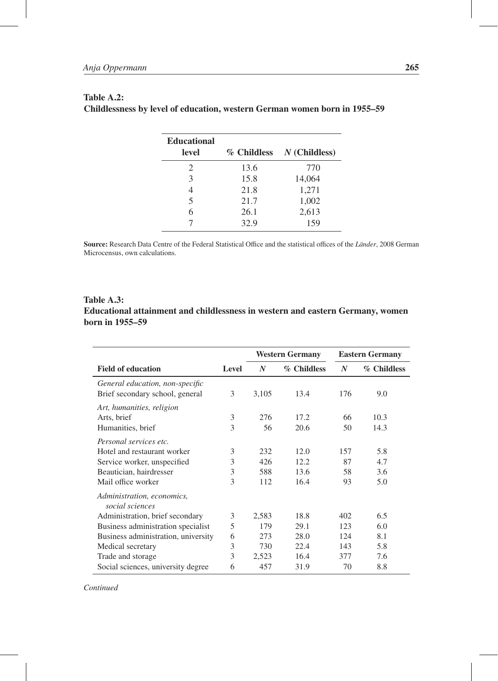| <b>Educational</b><br>level | % Childless | $N$ (Childless) |
|-----------------------------|-------------|-----------------|
| $\mathcal{D}_{\mathcal{L}}$ | 13.6        | 770             |
| 3                           | 15.8        | 14,064          |
|                             | 21.8        | 1,271           |
| 5                           | 21.7        | 1,002           |
|                             | 26.1        | 2,613           |
|                             | 32.9        | 159             |

#### Table A.2: Childlessness by level of education, western German women born in 1955–59

Source: Research Data Centre of the Federal Statistical Office and the statistical offices of the *Länder*, 2008 German Microcensus, own calculations.

#### Table A.3: Educational attainment and childlessness in western and eastern Germany, women born in 1955–59

|                                                                                                                                                               |                  |                          | <b>Western Germany</b>        |                       | <b>Eastern Germany</b>   |
|---------------------------------------------------------------------------------------------------------------------------------------------------------------|------------------|--------------------------|-------------------------------|-----------------------|--------------------------|
| <b>Field of education</b>                                                                                                                                     | Level            | $\boldsymbol{N}$         | % Childless                   | $\boldsymbol{N}$      | % Childless              |
| General education, non-specific<br>Brief secondary school, general                                                                                            | 3                | 3,105                    | 13.4                          | 176                   | 9.0                      |
| Art, humanities, religion<br>Arts, brief<br>Humanities, brief                                                                                                 | 3<br>3           | 276<br>56                | 17.2<br>20.6                  | 66<br>50              | 10.3<br>14.3             |
| Personal services etc.<br>Hotel and restaurant worker<br>Service worker, unspecified<br>Beautician, hairdresser<br>Mail office worker                         | 3<br>3<br>3<br>3 | 232<br>426<br>588<br>112 | 12.0<br>12.2.<br>13.6<br>16.4 | 157<br>87<br>58<br>93 | 5.8<br>4.7<br>3.6<br>5.0 |
| Administration, economics,<br>social sciences<br>Administration, brief secondary<br>Business administration specialist<br>Business administration, university | 3<br>5<br>6      | 2,583<br>179<br>273      | 18.8<br>29.1<br>28.0          | 402<br>123<br>124     | 6.5<br>6.0<br>8.1        |
| Medical secretary<br>Trade and storage<br>Social sciences, university degree                                                                                  | 3<br>3<br>6      | 730<br>2,523<br>457      | 22.4<br>16.4<br>31.9          | 143<br>377<br>70      | 5.8<br>7.6<br>8.8        |

*Continued*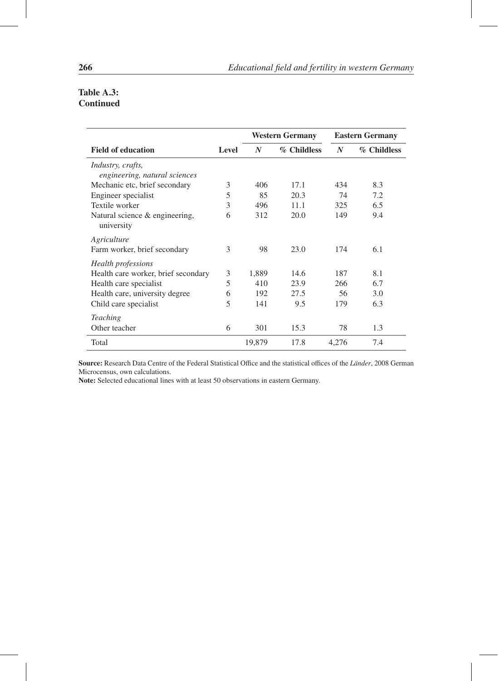#### Table A.3: Continued

|                                                           |       | <b>Western Germany</b> |             |       | <b>Eastern Germany</b> |  |  |
|-----------------------------------------------------------|-------|------------------------|-------------|-------|------------------------|--|--|
| <b>Field of education</b>                                 | Level | $\boldsymbol{N}$       | % Childless | N     | % Childless            |  |  |
| <i>Industry, crafts,</i><br>engineering, natural sciences |       |                        |             |       |                        |  |  |
| Mechanic etc, brief secondary                             | 3     | 406                    | 17.1        | 434   | 8.3                    |  |  |
| Engineer specialist                                       | 5     | 85                     | 20.3        | 74    | 7.2                    |  |  |
| Textile worker                                            | 3     | 496                    | 11.1        | 325   | 6.5                    |  |  |
| Natural science & engineering,<br>university              | 6     | 312                    | 20.0        | 149   | 9.4                    |  |  |
| Agriculture                                               |       |                        |             |       |                        |  |  |
| Farm worker, brief secondary                              | 3     | 98                     | 23.0        | 174   | 6.1                    |  |  |
| Health professions                                        |       |                        |             |       |                        |  |  |
| Health care worker, brief secondary                       | 3     | 1,889                  | 14.6        | 187   | 8.1                    |  |  |
| Health care specialist                                    | 5     | 410                    | 23.9        | 266   | 6.7                    |  |  |
| Health care, university degree                            | 6     | 192                    | 27.5        | 56    | 3.0                    |  |  |
| Child care specialist                                     | 5     | 141                    | 9.5         | 179   | 6.3                    |  |  |
| <b>Teaching</b>                                           |       |                        |             |       |                        |  |  |
| Other teacher                                             | 6     | 301                    | 15.3        | 78    | 1.3                    |  |  |
| Total                                                     |       | 19,879                 | 17.8        | 4.276 | 7.4                    |  |  |

Source: Research Data Centre of the Federal Statistical Office and the statistical offices of the *Länder*, 2008 German Microcensus, own calculations.

Note: Selected educational lines with at least 50 observations in eastern Germany.